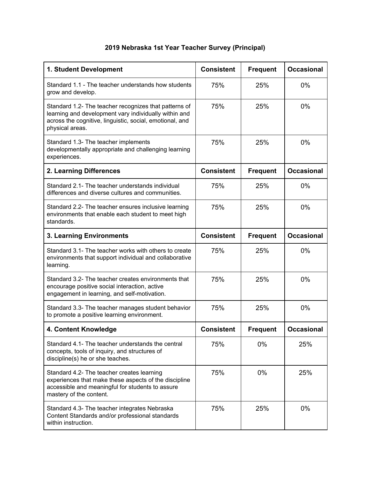## **2019 Nebraska 1st Year Teacher Survey (Principal)**

| 1. Student Development                                                                                                                                                                        | <b>Consistent</b> | <b>Frequent</b> | <b>Occasional</b> |
|-----------------------------------------------------------------------------------------------------------------------------------------------------------------------------------------------|-------------------|-----------------|-------------------|
| Standard 1.1 - The teacher understands how students<br>grow and develop.                                                                                                                      | 75%               | 25%             | $0\%$             |
| Standard 1.2- The teacher recognizes that patterns of<br>learning and development vary individually within and<br>across the cognitive, linguistic, social, emotional, and<br>physical areas. | 75%               | 25%             | 0%                |
| Standard 1.3- The teacher implements<br>developmentally appropriate and challenging learning<br>experiences.                                                                                  | 75%               | 25%             | 0%                |
| 2. Learning Differences                                                                                                                                                                       | <b>Consistent</b> | <b>Frequent</b> | <b>Occasional</b> |
| Standard 2.1- The teacher understands individual<br>differences and diverse cultures and communities.                                                                                         | 75%               | 25%             | 0%                |
| Standard 2.2- The teacher ensures inclusive learning<br>environments that enable each student to meet high<br>standards.                                                                      | 75%               | 25%             | 0%                |
| 3. Learning Environments                                                                                                                                                                      | <b>Consistent</b> | <b>Frequent</b> | <b>Occasional</b> |
| Standard 3.1- The teacher works with others to create<br>environments that support individual and collaborative<br>learning.                                                                  | 75%               | 25%             | 0%                |
| Standard 3.2- The teacher creates environments that<br>encourage positive social interaction, active<br>engagement in learning, and self-motivation.                                          | 75%               | 25%             | 0%                |
| Standard 3.3- The teacher manages student behavior<br>to promote a positive learning environment.                                                                                             | 75%               | 25%             | 0%                |
| 4. Content Knowledge                                                                                                                                                                          | <b>Consistent</b> | <b>Frequent</b> | <b>Occasional</b> |
| Standard 4.1- The teacher understands the central<br>concepts, tools of inquiry, and structures of<br>discipline(s) he or she teaches.                                                        | 75%               | 0%              | 25%               |
| Standard 4.2- The teacher creates learning<br>experiences that make these aspects of the discipline<br>accessible and meaningful for students to assure<br>mastery of the content.            | 75%               | 0%              | 25%               |
| Standard 4.3- The teacher integrates Nebraska<br>Content Standards and/or professional standards<br>within instruction.                                                                       | 75%               | 25%             | 0%                |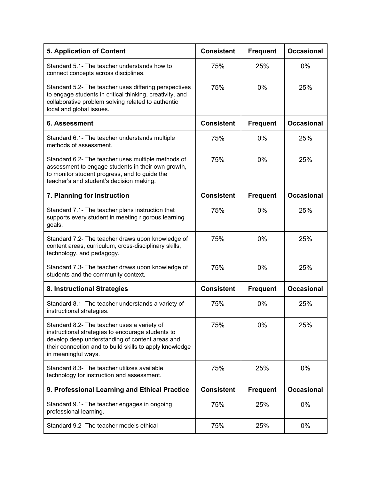| <b>5. Application of Content</b>                                                                                                                                                                                                      | <b>Consistent</b> | <b>Frequent</b> | <b>Occasional</b> |
|---------------------------------------------------------------------------------------------------------------------------------------------------------------------------------------------------------------------------------------|-------------------|-----------------|-------------------|
| Standard 5.1- The teacher understands how to<br>connect concepts across disciplines.                                                                                                                                                  | 75%               | 25%             | 0%                |
| Standard 5.2- The teacher uses differing perspectives<br>to engage students in critical thinking, creativity, and<br>collaborative problem solving related to authentic<br>local and global issues.                                   | 75%               | 0%              | 25%               |
| 6. Assessment                                                                                                                                                                                                                         | <b>Consistent</b> | <b>Frequent</b> | <b>Occasional</b> |
| Standard 6.1- The teacher understands multiple<br>methods of assessment.                                                                                                                                                              | 75%               | $0\%$           | 25%               |
| Standard 6.2- The teacher uses multiple methods of<br>assessment to engage students in their own growth,<br>to monitor student progress, and to guide the<br>teacher's and student's decision making.                                 | 75%               | 0%              | 25%               |
| 7. Planning for Instruction                                                                                                                                                                                                           | <b>Consistent</b> | <b>Frequent</b> | <b>Occasional</b> |
| Standard 7.1- The teacher plans instruction that<br>supports every student in meeting rigorous learning<br>goals.                                                                                                                     | 75%               | 0%              | 25%               |
| Standard 7.2- The teacher draws upon knowledge of<br>content areas, curriculum, cross-disciplinary skills,<br>technology, and pedagogy.                                                                                               | 75%               | 0%              | 25%               |
| Standard 7.3- The teacher draws upon knowledge of<br>students and the community context.                                                                                                                                              | 75%               | 0%              | 25%               |
| 8. Instructional Strategies                                                                                                                                                                                                           | <b>Consistent</b> | <b>Frequent</b> | <b>Occasional</b> |
| Standard 8.1- The teacher understands a variety of<br>instructional strategies.                                                                                                                                                       | 75%               | 0%              | 25%               |
| Standard 8.2- The teacher uses a variety of<br>instructional strategies to encourage students to<br>develop deep understanding of content areas and<br>their connection and to build skills to apply knowledge<br>in meaningful ways. | 75%               | 0%              | 25%               |
| Standard 8.3- The teacher utilizes available<br>technology for instruction and assessment.                                                                                                                                            | 75%               | 25%             | 0%                |
| 9. Professional Learning and Ethical Practice                                                                                                                                                                                         | <b>Consistent</b> | <b>Frequent</b> | <b>Occasional</b> |
| Standard 9.1- The teacher engages in ongoing<br>professional learning.                                                                                                                                                                | 75%               | 25%             | $0\%$             |
| Standard 9.2- The teacher models ethical                                                                                                                                                                                              | 75%               | 25%             | 0%                |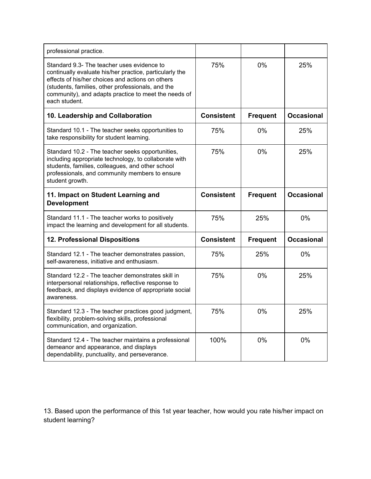| professional practice.                                                                                                                                                                                                                                                                  |                   |                 |                   |
|-----------------------------------------------------------------------------------------------------------------------------------------------------------------------------------------------------------------------------------------------------------------------------------------|-------------------|-----------------|-------------------|
| Standard 9.3- The teacher uses evidence to<br>continually evaluate his/her practice, particularly the<br>effects of his/her choices and actions on others<br>(students, families, other professionals, and the<br>community), and adapts practice to meet the needs of<br>each student. | 75%               | $0\%$           | 25%               |
| 10. Leadership and Collaboration                                                                                                                                                                                                                                                        | <b>Consistent</b> | <b>Frequent</b> | <b>Occasional</b> |
| Standard 10.1 - The teacher seeks opportunities to<br>take responsibility for student learning.                                                                                                                                                                                         | 75%               | $0\%$           | 25%               |
| Standard 10.2 - The teacher seeks opportunities,<br>including appropriate technology, to collaborate with<br>students, families, colleagues, and other school<br>professionals, and community members to ensure<br>student growth.                                                      | 75%               | 0%              | 25%               |
| 11. Impact on Student Learning and<br><b>Development</b>                                                                                                                                                                                                                                | <b>Consistent</b> | <b>Frequent</b> | <b>Occasional</b> |
| Standard 11.1 - The teacher works to positively<br>impact the learning and development for all students.                                                                                                                                                                                | 75%               | 25%             | 0%                |
| 12. Professional Dispositions                                                                                                                                                                                                                                                           | <b>Consistent</b> | <b>Frequent</b> | <b>Occasional</b> |
| Standard 12.1 - The teacher demonstrates passion,<br>self-awareness, initiative and enthusiasm.                                                                                                                                                                                         | 75%               | 25%             | 0%                |
| Standard 12.2 - The teacher demonstrates skill in<br>interpersonal relationships, reflective response to<br>feedback, and displays evidence of appropriate social<br>awareness.                                                                                                         | 75%               | 0%              | 25%               |
| Standard 12.3 - The teacher practices good judgment,<br>flexibility, problem-solving skills, professional<br>communication, and organization.                                                                                                                                           | 75%               | 0%              | 25%               |
| Standard 12.4 - The teacher maintains a professional                                                                                                                                                                                                                                    |                   |                 |                   |

13. Based upon the performance of this 1st year teacher, how would you rate his/her impact on student learning?